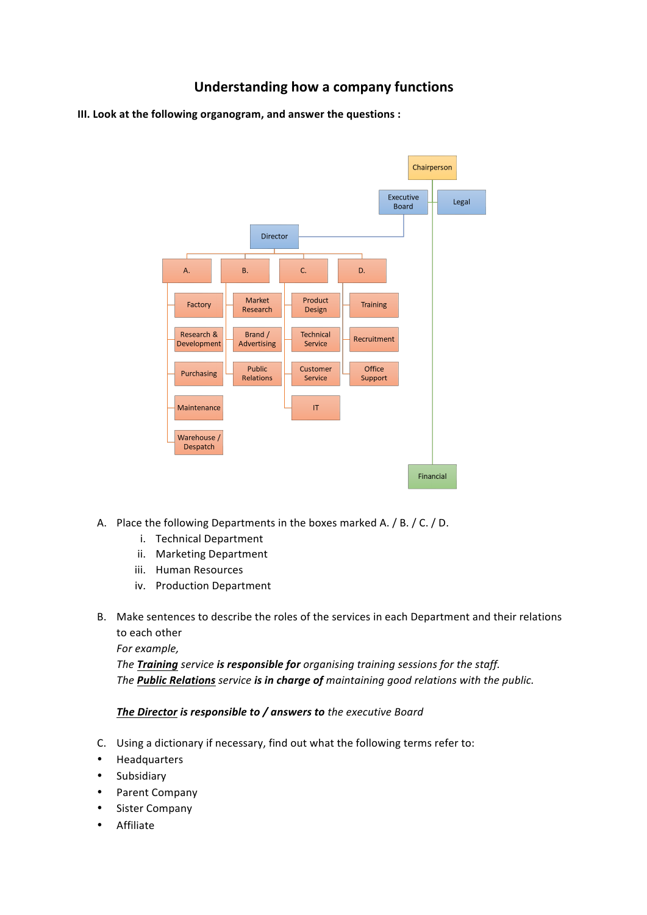## **Understanding how a company functions**

**III.** Look at the following organogram, and answer the questions :



- A. Place the following Departments in the boxes marked A. / B. / C. / D.
	- i. Technical Department
	- ii. Marketing Department
	- iii. Human Resources
	- iv. Production Department
- B. Make sentences to describe the roles of the services in each Department and their relations to each other

For example,

The Training service is responsible for organising training sessions for the staff. The **Public Relations** service is in charge of maintaining good relations with the public.

## *The Director is responsible to / answers to the executive Board*

- C. Using a dictionary if necessary, find out what the following terms refer to:
- Headquarters
- Subsidiary
- Parent Company
- Sister Company
- Affiliate